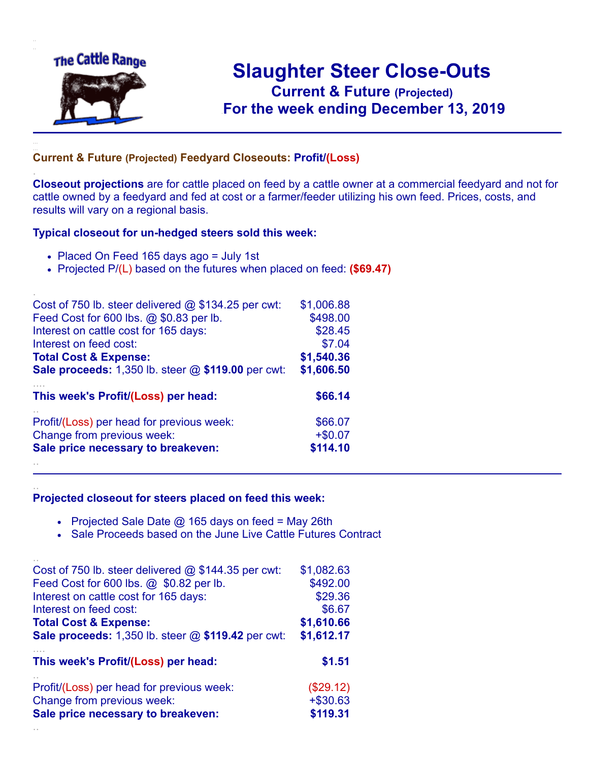

.

..

## **Slaughter Steer Close-Outs Current & Future (Projected)** .**For the week ending December 13, 2019**

## **Current & Future (Projected) Feedyard Closeouts: Profit/(Loss)**

**Closeout projections** are for cattle placed on feed by a cattle owner at a commercial feedyard and not for cattle owned by a feedyard and fed at cost or a farmer/feeder utilizing his own feed. Prices, costs, and results will vary on a regional basis.

## **Typical closeout for un-hedged steers sold this week:**

- Placed On Feed 165 days ago = July 1st
- Projected P/(L) based on the futures when placed on feed: **(\$69.47)**

| Cost of 750 lb. steer delivered $@$ \$134.25 per cwt:       | \$1,006.88 |
|-------------------------------------------------------------|------------|
| Feed Cost for 600 lbs. @ \$0.83 per lb.                     | \$498.00   |
| Interest on cattle cost for 165 days:                       | \$28.45    |
| Interest on feed cost:                                      | \$7.04     |
| <b>Total Cost &amp; Expense:</b>                            | \$1,540.36 |
| <b>Sale proceeds:</b> 1,350 lb. steer $@$ \$119.00 per cwt: | \$1,606.50 |
| This week's Profit/(Loss) per head:                         | \$66.14    |
| Profit/(Loss) per head for previous week:                   | \$66.07    |
| Change from previous week:                                  | $+$0.07$   |
| Sale price necessary to breakeven:                          | \$114.10   |
|                                                             |            |

## **Projected closeout for steers placed on feed this week:**

- Projected Sale Date  $@$  165 days on feed = May 26th
- Sale Proceeds based on the June Live Cattle Futures Contract

| Cost of 750 lb. steer delivered $@$ \$144.35 per cwt: | \$1,082.63  |
|-------------------------------------------------------|-------------|
| Feed Cost for 600 lbs. @ \$0.82 per lb.               | \$492.00    |
| Interest on cattle cost for 165 days:                 | \$29.36     |
| Interest on feed cost:                                | \$6.67      |
| <b>Total Cost &amp; Expense:</b>                      | \$1,610.66  |
| Sale proceeds: 1,350 lb. steer @ \$119.42 per cwt:    | \$1,612.17  |
|                                                       |             |
| This week's Profit/(Loss) per head:                   | \$1.51      |
| Profit/(Loss) per head for previous week:             | (\$29.12)   |
| Change from previous week:                            | $+$ \$30.63 |
| Sale price necessary to breakeven:                    | \$119.31    |